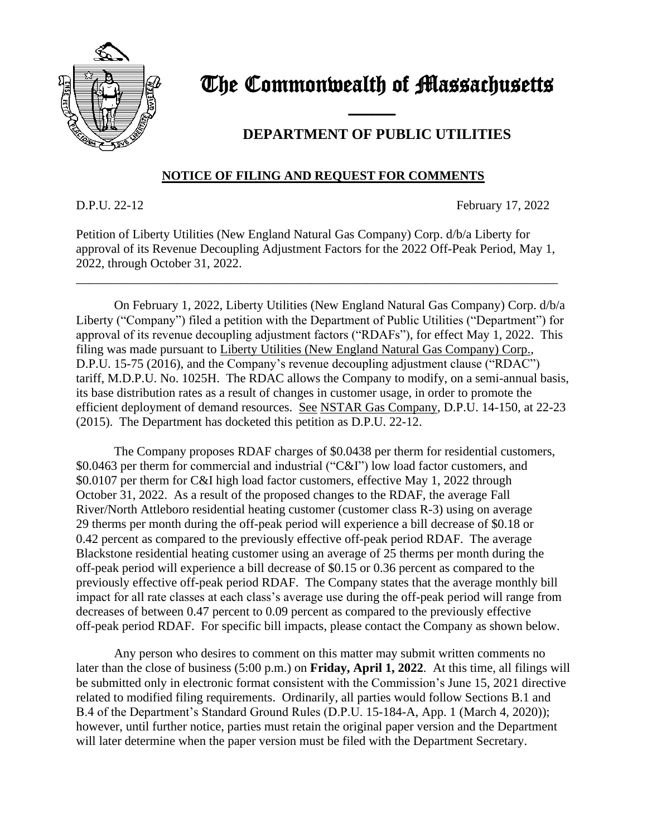

## The Commonwealth of Massachusetts

## **DEPARTMENT OF PUBLIC UTILITIES**

## **NOTICE OF FILING AND REQUEST FOR COMMENTS**

and the contract of the contract of

D.P.U. 22-12 February 17, 2022

Petition of Liberty Utilities (New England Natural Gas Company) Corp. d/b/a Liberty for approval of its Revenue Decoupling Adjustment Factors for the 2022 Off-Peak Period, May 1, 2022, through October 31, 2022.

\_\_\_\_\_\_\_\_\_\_\_\_\_\_\_\_\_\_\_\_\_\_\_\_\_\_\_\_\_\_\_\_\_\_\_\_\_\_\_\_\_\_\_\_\_\_\_\_\_\_\_\_\_\_\_\_\_\_\_\_\_\_\_\_\_\_\_\_\_\_\_\_\_\_\_\_

On February 1, 2022, Liberty Utilities (New England Natural Gas Company) Corp. d/b/a Liberty ("Company") filed a petition with the Department of Public Utilities ("Department") for approval of its revenue decoupling adjustment factors ("RDAFs"), for effect May 1, 2022. This filing was made pursuant to Liberty Utilities (New England Natural Gas Company) Corp., D.P.U. 15-75 (2016), and the Company's revenue decoupling adjustment clause ("RDAC") tariff, M.D.P.U. No. 1025H. The RDAC allows the Company to modify, on a semi-annual basis, its base distribution rates as a result of changes in customer usage, in order to promote the efficient deployment of demand resources. See NSTAR Gas Company, D.P.U. 14-150, at 22-23 (2015). The Department has docketed this petition as D.P.U. 22-12.

The Company proposes RDAF charges of \$0.0438 per therm for residential customers, \$0.0463 per therm for commercial and industrial ("C&I") low load factor customers, and \$0.0107 per therm for C&I high load factor customers, effective May 1, 2022 through October 31, 2022. As a result of the proposed changes to the RDAF, the average Fall River/North Attleboro residential heating customer (customer class R-3) using on average 29 therms per month during the off-peak period will experience a bill decrease of \$0.18 or 0.42 percent as compared to the previously effective off-peak period RDAF. The average Blackstone residential heating customer using an average of 25 therms per month during the off-peak period will experience a bill decrease of \$0.15 or 0.36 percent as compared to the previously effective off-peak period RDAF. The Company states that the average monthly bill impact for all rate classes at each class's average use during the off-peak period will range from decreases of between 0.47 percent to 0.09 percent as compared to the previously effective off-peak period RDAF. For specific bill impacts, please contact the Company as shown below.

Any person who desires to comment on this matter may submit written comments no later than the close of business (5:00 p.m.) on **Friday, April 1, 2022**. At this time, all filings will be submitted only in electronic format consistent with the Commission's June 15, 2021 directive related to modified filing requirements. Ordinarily, all parties would follow Sections B.1 and B.4 of the Department's Standard Ground Rules (D.P.U. 15-184-A, App. 1 (March 4, 2020)); however, until further notice, parties must retain the original paper version and the Department will later determine when the paper version must be filed with the Department Secretary.